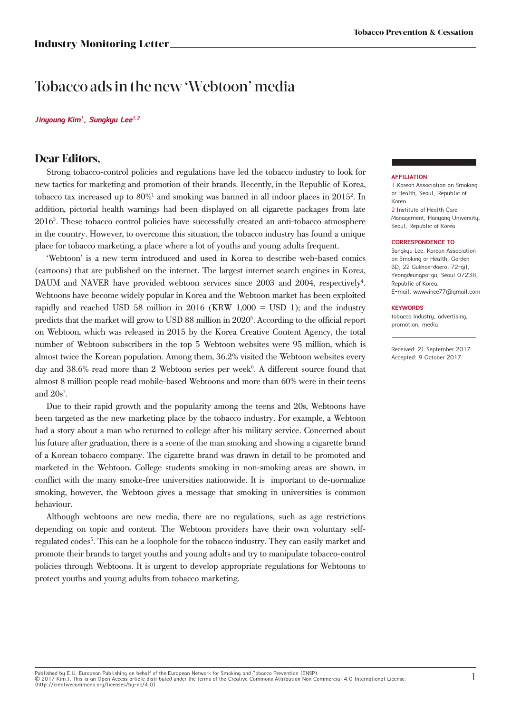# Tobacco ads in the new 'Webtoon' media

### **Jinyoung Kim<sup>1</sup>, Sungkyu Lee1,2**

## **Dear Editors,**

Strong tobacco-control policies and regulations have led the tobacco industry to look for new tactics for marketing and promotion of their brands. Recently, in the Republic of Korea, tobacco tax increased up to 80%<sup>1</sup> and smoking was banned in all indoor places in 2015<sup>2</sup>. In addition, pictorial health warnings had been displayed on all cigarette packages from late 20163 . These tobacco control policies have successfully created an anti-tobacco atmosphere in the country. However, to overcome this situation, the tobacco industry has found a unique place for tobacco marketing, a place where a lot of youths and young adults frequent.

'Webtoon' is a new term introduced and used in Korea to describe web-based comics (cartoons) that are published on the internet. The largest internet search engines in Korea, DAUM and NAVER have provided webtoon services since 2003 and 2004, respectively<sup>4</sup>. Webtoons have become widely popular in Korea and the Webtoon market has been exploited rapidly and reached USD 58 million in 2016 (KRW 1,000 = USD 1); and the industry predicts that the market will grow to USD 88 million in 2020<sup>5</sup>. According to the official report on Webtoon, which was released in 2015 by the Korea Creative Content Agency, the total number of Webtoon subscribers in the top 5 Webtoon websites were 95 million, which is almost twice the Korean population. Among them, 36.2% visited the Webtoon websites every day and 38.6% read more than 2 Webtoon series per week<sup>6</sup>. A different source found that almost 8 million people read mobile-based Webtoons and more than 60% were in their teens and  $20s^7$ .

Due to their rapid growth and the popularity among the teens and 20s, Webtoons have been targeted as the new marketing place by the tobacco industry. For example, a Webtoon had a story about a man who returned to college after his military service. Concerned about his future after graduation, there is a scene of the man smoking and showing a cigarette brand of a Korean tobacco company. The cigarette brand was drawn in detail to be promoted and marketed in the Webtoon. College students smoking in non-smoking areas are shown, in conflict with the many smoke-free universities nationwide. It is important to de-normalize smoking, however, the Webtoon gives a message that smoking in universities is common behaviour.

Although webtoons are new media, there are no regulations, such as age restrictions depending on topic and content. The Webtoon providers have their own voluntary selfregulated codes<sup>5</sup>. This can be a loophole for the tobacco industry. They can easily market and promote their brands to target youths and young adults and try to manipulate tobacco-control policies through Webtoons. It is urgent to develop appropriate regulations for Webtoons to protect youths and young adults from tobacco marketing.

### **AFFILIATION**

1 Korean Association on Smoking or Health, Seoul, Republic of Korea 2 Institute of Health Care

Management, Hanyang University, Seoul, Republic of Korea

### **CORRESPONDENCE TO**

Sungkyu Lee. Korean Association on Smoking or Health, Garden BD, 22 Gukhoe-daero, 72-ail, Yeongdeungpo-gu, Seoul 07238, Republic of Korea. E-mail: wwwvince77@gmail.com

### **KEYWORDS**

tobacco industry, advertising, promotion, media

Received: 21 September 2017 Accepted: 9 October 2017